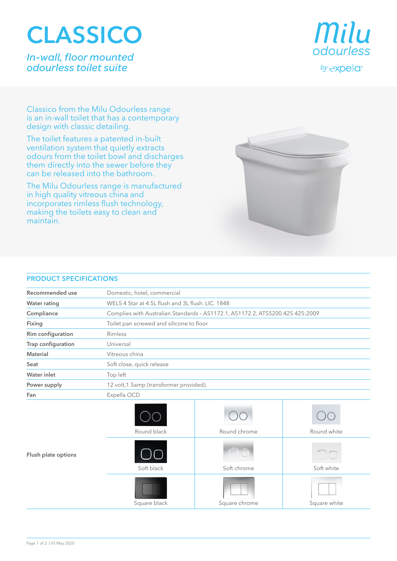## **CLASSICO**

*In-wall, floor mounted odourless toilet suite*



Classico from the Milu Odourless range is an in-wall toilet that has a contemporary design with classic detailing.

The toilet features a patented in-built ventilation system that quietly extracts odours from the toilet bowl and discharges them directly into the sewer before they can be released into the bathroom.

The Milu Odourless range is manufactured in high quality vitreous china and incorporates rimless flush technology, making the toilets easy to clean and maintain.



## **PRODUCT SPECIFICATIONS**

| Recommended use     | Domestic, hotel, commercial                                                   |               |              |
|---------------------|-------------------------------------------------------------------------------|---------------|--------------|
| <b>Water rating</b> | WELS 4 Star at 4.5L flush and 3L flush. LIC. 1848                             |               |              |
| Compliance          | Complies with Australian Standards - AS1172.1, AS1172.2, ATS5200.425.425:2009 |               |              |
| Fixing              | Toilet pan screwed and silicone to floor                                      |               |              |
| Rim configuration   | Rimless                                                                       |               |              |
| Trap configuration  | Universal                                                                     |               |              |
| Material            | Vitreous china                                                                |               |              |
| Seat                | Soft close, quick release                                                     |               |              |
| Water inlet         | Top left                                                                      |               |              |
| Power supply        | 12 volt, 1.5amp (transformer provided).                                       |               |              |
| Fan                 | Expella OCD                                                                   |               |              |
|                     | Round black                                                                   | Round chrome  | Round white  |
| Flush plate options | Soft black                                                                    | Soft chrome   | Soft white   |
|                     | Square black                                                                  | Square chrome | Square white |